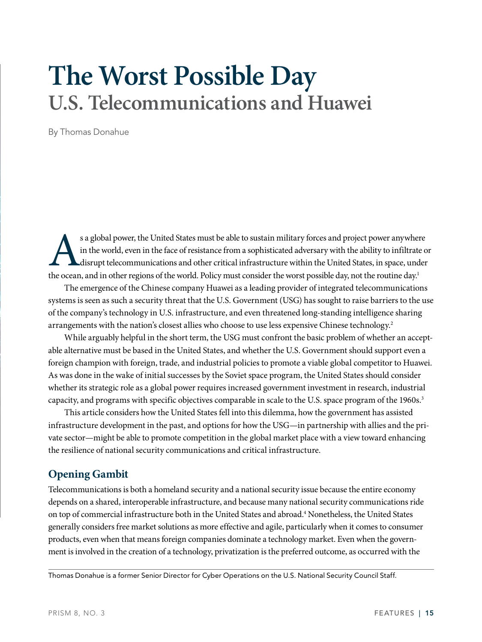# **The Worst Possible Day U.S. Telecommunications and Huawei**

By Thomas Donahue

s a global power, the United States must be able to sustain military forces and project power anywhere<br>in the world, even in the face of resistance from a sophisticated adversary with the ability to infiltrate of<br>disrupt t in the world, even in the face of resistance from a sophisticated adversary with the ability to infiltrate or disrupt telecommunications and other critical infrastructure within the United States, in space, under the ocean, and in other regions of the world. Policy must consider the worst possible day, not the routine day.<sup>1</sup>

The emergence of the Chinese company Huawei as a leading provider of integrated telecommunications systems is seen as such a security threat that the U.S. Government (USG) has sought to raise barriers to the use of the company's technology in U.S. infrastructure, and even threatened long-standing intelligence sharing arrangements with the nation's closest allies who choose to use less expensive Chinese technology.<sup>2</sup>

While arguably helpful in the short term, the USG must confront the basic problem of whether an acceptable alternative must be based in the United States, and whether the U.S. Government should support even a foreign champion with foreign, trade, and industrial policies to promote a viable global competitor to Huawei. As was done in the wake of initial successes by the Soviet space program, the United States should consider whether its strategic role as a global power requires increased government investment in research, industrial capacity, and programs with specific objectives comparable in scale to the U.S. space program of the 1960s.<sup>3</sup>

This article considers how the United States fell into this dilemma, how the government has assisted infrastructure development in the past, and options for how the USG—in partnership with allies and the private sector—might be able to promote competition in the global market place with a view toward enhancing the resilience of national security communications and critical infrastructure.

# **Opening Gambit**

Telecommunications is both a homeland security and a national security issue because the entire economy depends on a shared, interoperable infrastructure, and because many national security communications ride on top of commercial infrastructure both in the United States and abroad.4 Nonetheless, the United States generally considers free market solutions as more effective and agile, particularly when it comes to consumer products, even when that means foreign companies dominate a technology market. Even when the government is involved in the creation of a technology, privatization is the preferred outcome, as occurred with the

Thomas Donahue is a former Senior Director for Cyber Operations on the U.S. National Security Council Staff.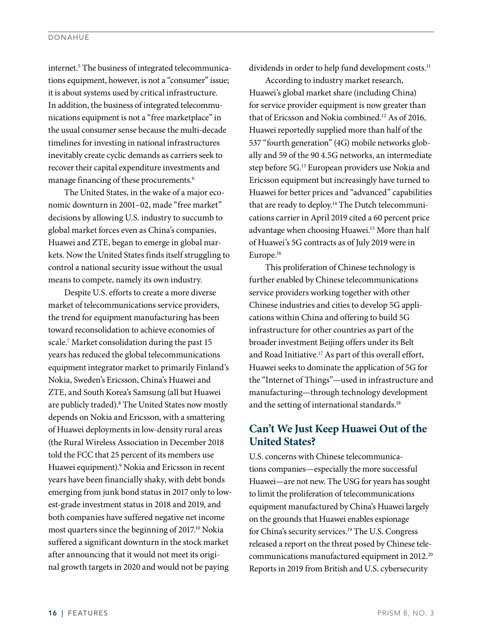internet.<sup>5</sup> The business of integrated telecommunications equipment, however, is not a "consumer" issue; it is about systems used by critical infrastructure. In addition, the business of integrated telecommunications equipment is not a "free marketplace" in the usual consumer sense because the multi-decade timelines for investing in national infrastructures inevitably create cyclic demands as carriers seek to recover their capital expenditure investments and manage financing of these procurements.<sup>6</sup>

The United States, in the wake of a major economic downturn in 2001–02, made "free market" decisions by allowing U.S. industry to succumb to global market forces even as China's companies, Huawei and ZTE, began to emerge in global markets. Now the United States finds itself struggling to control a national security issue without the usual means to compete, namely its own industry.

Despite U.S. efforts to create a more diverse market of telecommunications service providers, the trend for equipment manufacturing has been toward reconsolidation to achieve economies of scale.7 Market consolidation during the past 15 years has reduced the global telecommunications equipment integrator market to primarily Finland's Nokia, Sweden's Ericsson, China's Huawei and ZTE, and South Korea's Samsung (all but Huawei are publicly traded).8 The United States now mostly depends on Nokia and Ericsson, with a smattering of Huawei deployments in low-density rural areas (the Rural Wireless Association in December 2018 told the FCC that 25 percent of its members use Huawei equipment).9 Nokia and Ericsson in recent years have been financially shaky, with debt bonds emerging from junk bond status in 2017 only to lowest-grade investment status in 2018 and 2019, and both companies have suffered negative net income most quarters since the beginning of 2017.<sup>10</sup> Nokia suffered a significant downturn in the stock market after announcing that it would not meet its original growth targets in 2020 and would not be paying

dividends in order to help fund development costs.<sup>11</sup>

According to industry market research, Huawei's global market share (including China) for service provider equipment is now greater than that of Ericsson and Nokia combined.12 As of 2016, Huawei reportedly supplied more than half of the 537 "fourth generation" (4G) mobile networks globally and 59 of the 90 4.5G networks, an intermediate step before 5G.<sup>13</sup> European providers use Nokia and Ericsson equipment but increasingly have turned to Huawei for better prices and "advanced" capabilities that are ready to deploy.<sup>14</sup> The Dutch telecommunications carrier in April 2019 cited a 60 percent price advantage when choosing Huawei.<sup>15</sup> More than half of Huawei's 5G contracts as of July 2019 were in Europe.16

This proliferation of Chinese technology is further enabled by Chinese telecommunications service providers working together with other Chinese industries and cities to develop 5G applications within China and offering to build 5G infrastructure for other countries as part of the broader investment Beijing offers under its Belt and Road Initiative.17 As part of this overall effort, Huawei seeks to dominate the application of 5G for the "Internet of Things"—used in infrastructure and manufacturing—through technology development and the setting of international standards.<sup>18</sup>

## **Can't We Just Keep Huawei Out of the United States?**

U.S. concerns with Chinese telecommunications companies—especially the more successful Huawei—are not new. The USG for years has sought to limit the proliferation of telecommunications equipment manufactured by China's Huawei largely on the grounds that Huawei enables espionage for China's security services.<sup>19</sup> The U.S. Congress released a report on the threat posed by Chinese telecommunications manufactured equipment in 2012.<sup>20</sup> Reports in 2019 from British and U.S. cybersecurity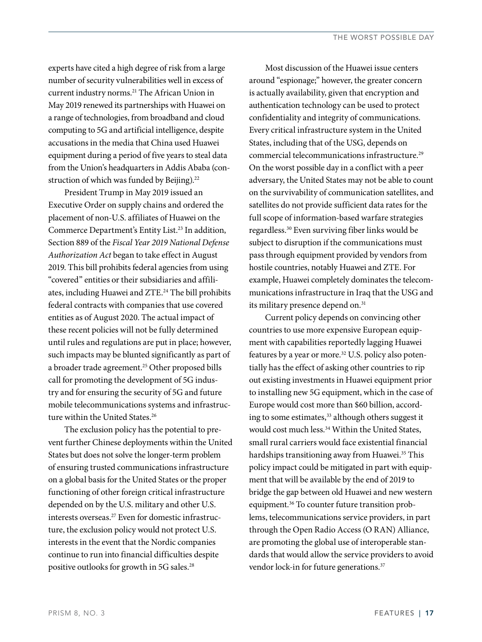experts have cited a high degree of risk from a large number of security vulnerabilities well in excess of current industry norms.21 The African Union in May 2019 renewed its partnerships with Huawei on a range of technologies, from broadband and cloud computing to 5G and artificial intelligence, despite accusations in the media that China used Huawei equipment during a period of five years to steal data from the Union's headquarters in Addis Ababa (construction of which was funded by Beijing).<sup>22</sup>

President Trump in May 2019 issued an Executive Order on supply chains and ordered the placement of non-U.S. affiliates of Huawei on the Commerce Department's Entity List.<sup>23</sup> In addition, Section 889 of the *Fiscal Year 2019 National Defense Authorization Act* began to take effect in August 2019. This bill prohibits federal agencies from using "covered" entities or their subsidiaries and affiliates, including Huawei and ZTE.<sup>24</sup> The bill prohibits federal contracts with companies that use covered entities as of August 2020. The actual impact of these recent policies will not be fully determined until rules and regulations are put in place; however, such impacts may be blunted significantly as part of a broader trade agreement.<sup>25</sup> Other proposed bills call for promoting the development of 5G industry and for ensuring the security of 5G and future mobile telecommunications systems and infrastructure within the United States.<sup>26</sup>

The exclusion policy has the potential to prevent further Chinese deployments within the United States but does not solve the longer-term problem of ensuring trusted communications infrastructure on a global basis for the United States or the proper functioning of other foreign critical infrastructure depended on by the U.S. military and other U.S. interests overseas.27 Even for domestic infrastructure, the exclusion policy would not protect U.S. interests in the event that the Nordic companies continue to run into financial difficulties despite positive outlooks for growth in 5G sales.<sup>28</sup>

Most discussion of the Huawei issue centers around "espionage;" however, the greater concern is actually availability, given that encryption and authentication technology can be used to protect confidentiality and integrity of communications. Every critical infrastructure system in the United States, including that of the USG, depends on commercial telecommunications infrastructure.29 On the worst possible day in a conflict with a peer adversary, the United States may not be able to count on the survivability of communication satellites, and satellites do not provide sufficient data rates for the full scope of information-based warfare strategies regardless.30 Even surviving fiber links would be subject to disruption if the communications must pass through equipment provided by vendors from hostile countries, notably Huawei and ZTE. For example, Huawei completely dominates the telecommunications infrastructure in Iraq that the USG and its military presence depend on.<sup>31</sup>

Current policy depends on convincing other countries to use more expensive European equipment with capabilities reportedly lagging Huawei features by a year or more.<sup>32</sup> U.S. policy also potentially has the effect of asking other countries to rip out existing investments in Huawei equipment prior to installing new 5G equipment, which in the case of Europe would cost more than \$60 billion, according to some estimates,<sup>33</sup> although others suggest it would cost much less.<sup>34</sup> Within the United States, small rural carriers would face existential financial hardships transitioning away from Huawei.<sup>35</sup> This policy impact could be mitigated in part with equipment that will be available by the end of 2019 to bridge the gap between old Huawei and new western equipment.36 To counter future transition problems, telecommunications service providers, in part through the Open Radio Access (O RAN) Alliance, are promoting the global use of interoperable standards that would allow the service providers to avoid vendor lock-in for future generations.<sup>37</sup>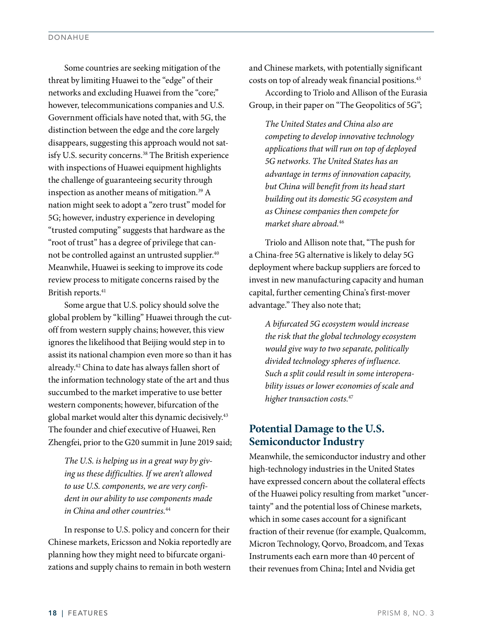Some countries are seeking mitigation of the threat by limiting Huawei to the "edge" of their networks and excluding Huawei from the "core;" however, telecommunications companies and U.S. Government officials have noted that, with 5G, the distinction between the edge and the core largely disappears, suggesting this approach would not satisfy U.S. security concerns.<sup>38</sup> The British experience with inspections of Huawei equipment highlights the challenge of guaranteeing security through inspection as another means of mitigation.<sup>39</sup> A nation might seek to adopt a "zero trust" model for 5G; however, industry experience in developing "trusted computing" suggests that hardware as the "root of trust" has a degree of privilege that cannot be controlled against an untrusted supplier.<sup>40</sup> Meanwhile, Huawei is seeking to improve its code review process to mitigate concerns raised by the British reports.41

Some argue that U.S. policy should solve the global problem by "killing" Huawei through the cutoff from western supply chains; however, this view ignores the likelihood that Beijing would step in to assist its national champion even more so than it has already.42 China to date has always fallen short of the information technology state of the art and thus succumbed to the market imperative to use better western components; however, bifurcation of the global market would alter this dynamic decisively.43 The founder and chief executive of Huawei, Ren Zhengfei, prior to the G20 summit in June 2019 said;

*The U.S. is helping us in a great way by giving us these difficulties. If we aren't allowed to use U.S. components, we are very confident in our ability to use components made in China and other countries.*44

In response to U.S. policy and concern for their Chinese markets, Ericsson and Nokia reportedly are planning how they might need to bifurcate organizations and supply chains to remain in both western and Chinese markets, with potentially significant costs on top of already weak financial positions.45 According to Triolo and Allison of the Eurasia Group, in their paper on "The Geopolitics of 5G";

*The United States and China also are competing to develop innovative technology applications that will run on top of deployed 5G networks. The United States has an advantage in terms of innovation capacity, but China will benefit from its head start building out its domestic 5G ecosystem and as Chinese companies then compete for market share abroad.*46

Triolo and Allison note that, "The push for a China-free 5G alternative is likely to delay 5G deployment where backup suppliers are forced to invest in new manufacturing capacity and human capital, further cementing China's first-mover advantage." They also note that;

*A bifurcated 5G ecosystem would increase the risk that the global technology ecosystem would give way to two separate, politically divided technology spheres of influence. Such a split could result in some interoperability issues or lower economies of scale and higher transaction costs.*<sup>47</sup>

# **Potential Damage to the U.S. Semiconductor Industry**

Meanwhile, the semiconductor industry and other high-technology industries in the United States have expressed concern about the collateral effects of the Huawei policy resulting from market "uncertainty" and the potential loss of Chinese markets, which in some cases account for a significant fraction of their revenue (for example, Qualcomm, Micron Technology, Qorvo, Broadcom, and Texas Instruments each earn more than 40 percent of their revenues from China; Intel and Nvidia get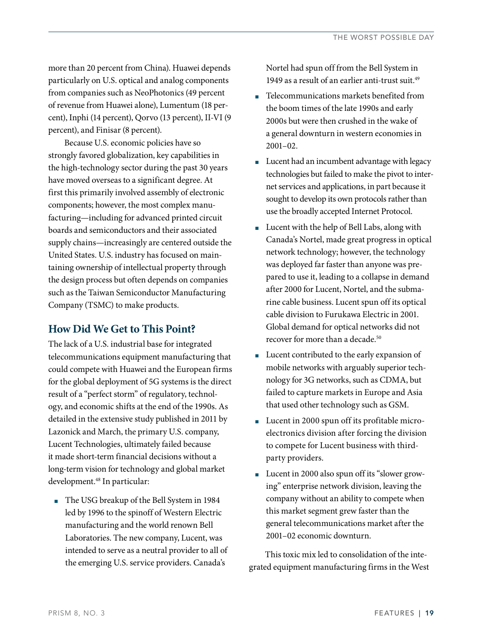more than 20 percent from China). Huawei depends particularly on U.S. optical and analog components from companies such as NeoPhotonics (49 percent of revenue from Huawei alone), Lumentum (18 percent), Inphi (14 percent), Qorvo (13 percent), II-VI (9 percent), and Finisar (8 percent).

Because U.S. economic policies have so strongly favored globalization, key capabilities in the high-technology sector during the past 30 years have moved overseas to a significant degree. At first this primarily involved assembly of electronic components; however, the most complex manufacturing—including for advanced printed circuit boards and semiconductors and their associated supply chains—increasingly are centered outside the United States. U.S. industry has focused on maintaining ownership of intellectual property through the design process but often depends on companies such as the Taiwan Semiconductor Manufacturing Company (TSMC) to make products.

## **How Did We Get to This Point?**

The lack of a U.S. industrial base for integrated telecommunications equipment manufacturing that could compete with Huawei and the European firms for the global deployment of 5G systems is the direct result of a "perfect storm" of regulatory, technology, and economic shifts at the end of the 1990s. As detailed in the extensive study published in 2011 by Lazonick and March, the primary U.S. company, Lucent Technologies, ultimately failed because it made short-term financial decisions without a long-term vision for technology and global market development.<sup>48</sup> In particular:

■ The USG breakup of the Bell System in 1984 led by 1996 to the spinoff of Western Electric manufacturing and the world renown Bell Laboratories. The new company, Lucent, was intended to serve as a neutral provider to all of the emerging U.S. service providers. Canada's

Nortel had spun off from the Bell System in 1949 as a result of an earlier anti-trust suit  $49$ 

- Telecommunications markets benefited from the boom times of the late 1990s and early 2000s but were then crushed in the wake of a general downturn in western economies in 2001–02.
- Lucent had an incumbent advantage with legacy technologies but failed to make the pivot to internet services and applications, in part because it sought to develop its own protocols rather than use the broadly accepted Internet Protocol.
- Lucent with the help of Bell Labs, along with Canada's Nortel, made great progress in optical network technology; however, the technology was deployed far faster than anyone was prepared to use it, leading to a collapse in demand after 2000 for Lucent, Nortel, and the submarine cable business. Lucent spun off its optical cable division to Furukawa Electric in 2001. Global demand for optical networks did not recover for more than a decade.<sup>50</sup>
- Lucent contributed to the early expansion of mobile networks with arguably superior technology for 3G networks, such as CDMA, but failed to capture markets in Europe and Asia that used other technology such as GSM.
- Lucent in 2000 spun off its profitable microelectronics division after forcing the division to compete for Lucent business with thirdparty providers.
- Lucent in 2000 also spun off its "slower growing" enterprise network division, leaving the company without an ability to compete when this market segment grew faster than the general telecommunications market after the 2001–02 economic downturn.

This toxic mix led to consolidation of the integrated equipment manufacturing firms in the West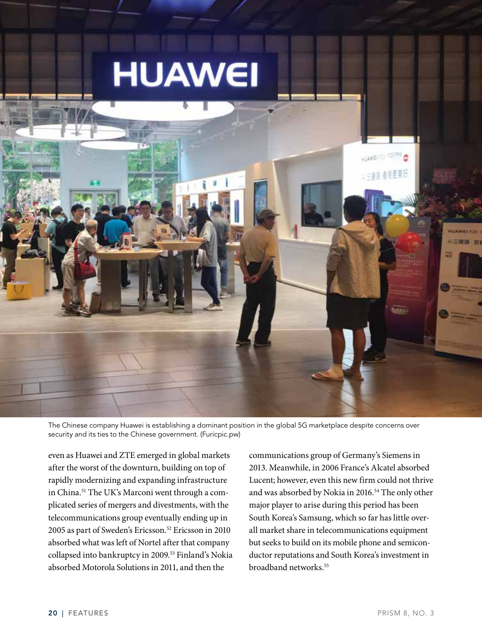

The Chinese company Huawei is establishing a dominant position in the global 5G marketplace despite concerns over security and its ties to the Chinese government. (Furicpic.pw)

even as Huawei and ZTE emerged in global markets after the worst of the downturn, building on top of rapidly modernizing and expanding infrastructure in China.51 The UK's Marconi went through a complicated series of mergers and divestments, with the telecommunications group eventually ending up in 2005 as part of Sweden's Ericsson.52 Ericsson in 2010 absorbed what was left of Nortel after that company collapsed into bankruptcy in 2009.53 Finland's Nokia absorbed Motorola Solutions in 2011, and then the

communications group of Germany's Siemens in 2013. Meanwhile, in 2006 France's Alcatel absorbed Lucent; however, even this new firm could not thrive and was absorbed by Nokia in 2016.<sup>54</sup> The only other major player to arise during this period has been South Korea's Samsung, which so far has little overall market share in telecommunications equipment but seeks to build on its mobile phone and semiconductor reputations and South Korea's investment in broadband networks.55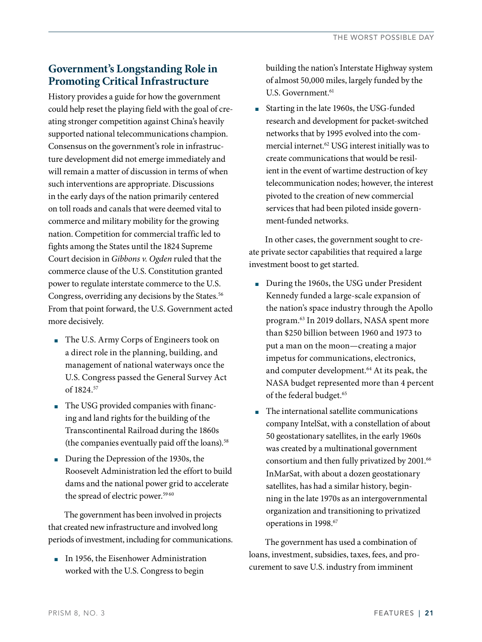# **Government's Longstanding Role in Promoting Critical Infrastructure**

History provides a guide for how the government could help reset the playing field with the goal of creating stronger competition against China's heavily supported national telecommunications champion. Consensus on the government's role in infrastructure development did not emerge immediately and will remain a matter of discussion in terms of when such interventions are appropriate. Discussions in the early days of the nation primarily centered on toll roads and canals that were deemed vital to commerce and military mobility for the growing nation. Competition for commercial traffic led to fights among the States until the 1824 Supreme Court decision in *Gibbons v. Ogden* ruled that the commerce clause of the U.S. Constitution granted power to regulate interstate commerce to the U.S. Congress, overriding any decisions by the States.<sup>56</sup> From that point forward, the U.S. Government acted more decisively.

- The U.S. Army Corps of Engineers took on a direct role in the planning, building, and management of national waterways once the U.S. Congress passed the General Survey Act of 1824.57
- The USG provided companies with financing and land rights for the building of the Transcontinental Railroad during the 1860s (the companies eventually paid off the loans).58
- During the Depression of the 1930s, the Roosevelt Administration led the effort to build dams and the national power grid to accelerate the spread of electric power.<sup>5960</sup>

The government has been involved in projects that created new infrastructure and involved long periods of investment, including for communications.

■ In 1956, the Eisenhower Administration worked with the U.S. Congress to begin

building the nation's Interstate Highway system of almost 50,000 miles, largely funded by the U.S. Government.<sup>61</sup>

■ Starting in the late 1960s, the USG-funded research and development for packet-switched networks that by 1995 evolved into the commercial internet.<sup>62</sup> USG interest initially was to create communications that would be resilient in the event of wartime destruction of key telecommunication nodes; however, the interest pivoted to the creation of new commercial services that had been piloted inside government-funded networks.

In other cases, the government sought to create private sector capabilities that required a large investment boost to get started.

- During the 1960s, the USG under President Kennedy funded a large-scale expansion of the nation's space industry through the Apollo program.63 In 2019 dollars, NASA spent more than \$250 billion between 1960 and 1973 to put a man on the moon—creating a major impetus for communications, electronics, and computer development.<sup>64</sup> At its peak, the NASA budget represented more than 4 percent of the federal budget.65
- The international satellite communications company IntelSat, with a constellation of about 50 geostationary satellites, in the early 1960s was created by a multinational government consortium and then fully privatized by 2001.66 InMarSat, with about a dozen geostationary satellites, has had a similar history, beginning in the late 1970s as an intergovernmental organization and transitioning to privatized operations in 1998.<sup>67</sup>

The government has used a combination of loans, investment, subsidies, taxes, fees, and procurement to save U.S. industry from imminent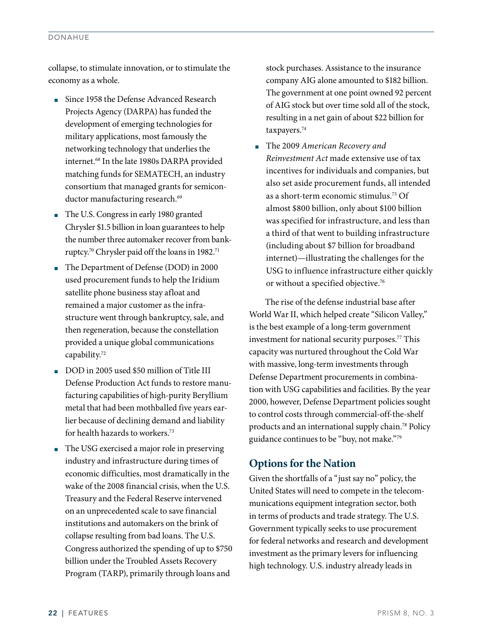#### DONAHUE

collapse, to stimulate innovation, or to stimulate the economy as a whole.

- Since 1958 the Defense Advanced Research Projects Agency (DARPA) has funded the development of emerging technologies for military applications, most famously the networking technology that underlies the internet.68 In the late 1980s DARPA provided matching funds for SEMATECH, an industry consortium that managed grants for semiconductor manufacturing research.<sup>69</sup>
- The U.S. Congress in early 1980 granted Chrysler \$1.5 billion in loan guarantees to help the number three automaker recover from bankruptcy.70 Chrysler paid off the loans in 1982.71
- The Department of Defense (DOD) in 2000 used procurement funds to help the Iridium satellite phone business stay afloat and remained a major customer as the infrastructure went through bankruptcy, sale, and then regeneration, because the constellation provided a unique global communications capability.72
- DOD in 2005 used \$50 million of Title III Defense Production Act funds to restore manufacturing capabilities of high-purity Beryllium metal that had been mothballed five years earlier because of declining demand and liability for health hazards to workers.73
- The USG exercised a major role in preserving industry and infrastructure during times of economic difficulties, most dramatically in the wake of the 2008 financial crisis, when the U.S. Treasury and the Federal Reserve intervened on an unprecedented scale to save financial institutions and automakers on the brink of collapse resulting from bad loans. The U.S. Congress authorized the spending of up to \$750 billion under the Troubled Assets Recovery Program (TARP), primarily through loans and

stock purchases. Assistance to the insurance company AIG alone amounted to \$182 billion. The government at one point owned 92 percent of AIG stock but over time sold all of the stock, resulting in a net gain of about \$22 billion for taxpayers.<sup>74</sup>

■ The 2009 *American Recovery and Reinvestment Act* made extensive use of tax incentives for individuals and companies, but also set aside procurement funds, all intended as a short-term economic stimulus.75 Of almost \$800 billion, only about \$100 billion was specified for infrastructure, and less than a third of that went to building infrastructure (including about \$7 billion for broadband internet)—illustrating the challenges for the USG to influence infrastructure either quickly or without a specified objective.76

The rise of the defense industrial base after World War II, which helped create "Silicon Valley," is the best example of a long-term government investment for national security purposes.<sup>77</sup> This capacity was nurtured throughout the Cold War with massive, long-term investments through Defense Department procurements in combination with USG capabilities and facilities. By the year 2000, however, Defense Department policies sought to control costs through commercial-off-the-shelf products and an international supply chain.78 Policy guidance continues to be "buy, not make."79

## **Options for the Nation**

Given the shortfalls of a "just say no" policy, the United States will need to compete in the telecommunications equipment integration sector, both in terms of products and trade strategy. The U.S. Government typically seeks to use procurement for federal networks and research and development investment as the primary levers for influencing high technology. U.S. industry already leads in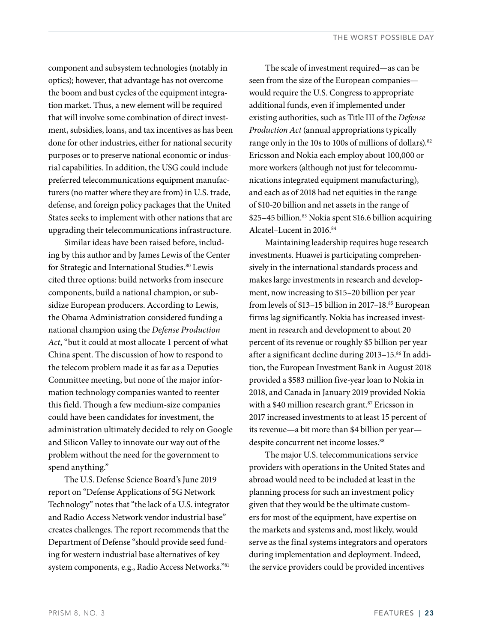component and subsystem technologies (notably in optics); however, that advantage has not overcome the boom and bust cycles of the equipment integration market. Thus, a new element will be required that will involve some combination of direct investment, subsidies, loans, and tax incentives as has been done for other industries, either for national security purposes or to preserve national economic or indusrial capabilities. In addition, the USG could include preferred telecommunications equipment manufacturers (no matter where they are from) in U.S. trade, defense, and foreign policy packages that the United States seeks to implement with other nations that are upgrading their telecommunications infrastructure.

Similar ideas have been raised before, including by this author and by James Lewis of the Center for Strategic and International Studies.<sup>80</sup> Lewis cited three options: build networks from insecure components, build a national champion, or subsidize European producers. According to Lewis, the Obama Administration considered funding a national champion using the *Defense Production Act*, "but it could at most allocate 1 percent of what China spent. The discussion of how to respond to the telecom problem made it as far as a Deputies Committee meeting, but none of the major information technology companies wanted to reenter this field. Though a few medium-size companies could have been candidates for investment, the administration ultimately decided to rely on Google and Silicon Valley to innovate our way out of the problem without the need for the government to spend anything."

The U.S. Defense Science Board's June 2019 report on "Defense Applications of 5G Network Technology" notes that "the lack of a U.S. integrator and Radio Access Network vendor industrial base" creates challenges. The report recommends that the Department of Defense "should provide seed funding for western industrial base alternatives of key system components, e.g., Radio Access Networks."81

The scale of investment required—as can be seen from the size of the European companies would require the U.S. Congress to appropriate additional funds, even if implemented under existing authorities, such as Title III of the *Defense Production Act* (annual appropriations typically range only in the 10s to 100s of millions of dollars).82 Ericsson and Nokia each employ about 100,000 or more workers (although not just for telecommunications integrated equipment manufacturing), and each as of 2018 had net equities in the range of \$10-20 billion and net assets in the range of \$25–45 billion.83 Nokia spent \$16.6 billion acquiring Alcatel–Lucent in 2016.84

Maintaining leadership requires huge research investments. Huawei is participating comprehensively in the international standards process and makes large investments in research and development, now increasing to \$15–20 billion per year from levels of \$13-15 billion in 2017-18.<sup>85</sup> European firms lag significantly. Nokia has increased investment in research and development to about 20 percent of its revenue or roughly \$5 billion per year after a significant decline during 2013-15.86 In addition, the European Investment Bank in August 2018 provided a \$583 million five-year loan to Nokia in 2018, and Canada in January 2019 provided Nokia with a \$40 million research grant.<sup>87</sup> Ericsson in 2017 increased investments to at least 15 percent of its revenue—a bit more than \$4 billion per year despite concurrent net income losses.<sup>88</sup>

The major U.S. telecommunications service providers with operations in the United States and abroad would need to be included at least in the planning process for such an investment policy given that they would be the ultimate customers for most of the equipment, have expertise on the markets and systems and, most likely, would serve as the final systems integrators and operators during implementation and deployment. Indeed, the service providers could be provided incentives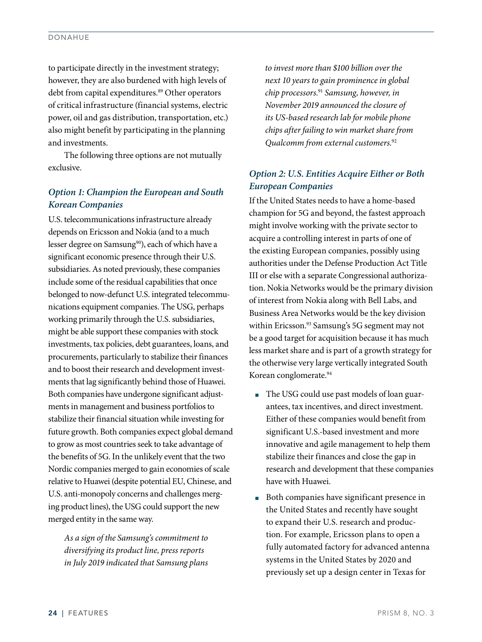to participate directly in the investment strategy; however, they are also burdened with high levels of debt from capital expenditures.<sup>89</sup> Other operators of critical infrastructure (financial systems, electric power, oil and gas distribution, transportation, etc.) also might benefit by participating in the planning and investments.

The following three options are not mutually exclusive.

## *Option 1: Champion the European and South Korean Companies*

U.S. telecommunications infrastructure already depends on Ericsson and Nokia (and to a much lesser degree on Samsung<sup>90</sup>), each of which have a significant economic presence through their U.S. subsidiaries. As noted previously, these companies include some of the residual capabilities that once belonged to now-defunct U.S. integrated telecommunications equipment companies. The USG, perhaps working primarily through the U.S. subsidiaries, might be able support these companies with stock investments, tax policies, debt guarantees, loans, and procurements, particularly to stabilize their finances and to boost their research and development investments that lag significantly behind those of Huawei. Both companies have undergone significant adjustments in management and business portfolios to stabilize their financial situation while investing for future growth. Both companies expect global demand to grow as most countries seek to take advantage of the benefits of 5G. In the unlikely event that the two Nordic companies merged to gain economies of scale relative to Huawei (despite potential EU, Chinese, and U.S. anti-monopoly concerns and challenges merging product lines), the USG could support the new merged entity in the same way.

*As a sign of the Samsung's commitment to diversifying its product line, press reports in July 2019 indicated that Samsung plans* 

*to invest more than \$100 billion over the next 10 years to gain prominence in global chip processors.*<sup>91</sup> *Samsung, however, in November 2019 announced the closure of its US-based research lab for mobile phone chips after failing to win market share from Qualcomm from external customers.*<sup>92</sup>

## *Option 2: U.S. Entities Acquire Either or Both European Companies*

If the United States needs to have a home-based champion for 5G and beyond, the fastest approach might involve working with the private sector to acquire a controlling interest in parts of one of the existing European companies, possibly using authorities under the Defense Production Act Title III or else with a separate Congressional authorization. Nokia Networks would be the primary division of interest from Nokia along with Bell Labs, and Business Area Networks would be the key division within Ericsson.<sup>93</sup> Samsung's 5G segment may not be a good target for acquisition because it has much less market share and is part of a growth strategy for the otherwise very large vertically integrated South Korean conglomerate.94

- The USG could use past models of loan guarantees, tax incentives, and direct investment. Either of these companies would benefit from significant U.S.-based investment and more innovative and agile management to help them stabilize their finances and close the gap in research and development that these companies have with Huawei.
- Both companies have significant presence in the United States and recently have sought to expand their U.S. research and production. For example, Ericsson plans to open a fully automated factory for advanced antenna systems in the United States by 2020 and previously set up a design center in Texas for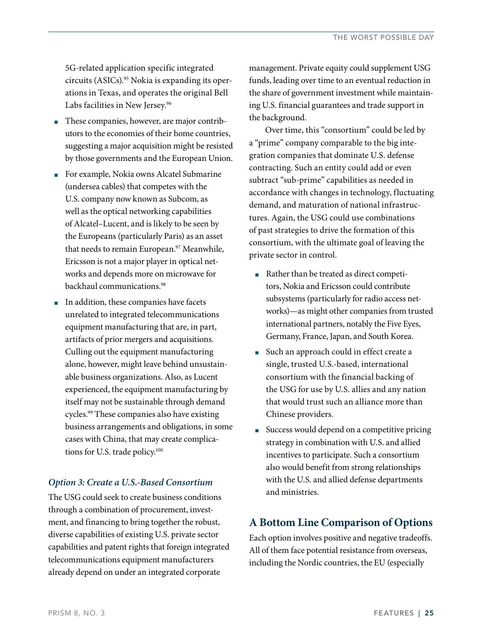5G-related application specific integrated circuits (ASICs).95 Nokia is expanding its operations in Texas, and operates the original Bell Labs facilities in New Jersey.<sup>96</sup>

- These companies, however, are major contributors to the economies of their home countries, suggesting a major acquisition might be resisted by those governments and the European Union.
- For example, Nokia owns Alcatel Submarine (undersea cables) that competes with the U.S. company now known as Subcom, as well as the optical networking capabilities of Alcatel–Lucent, and is likely to be seen by the Europeans (particularly Paris) as an asset that needs to remain European.<sup>97</sup> Meanwhile, Ericsson is not a major player in optical networks and depends more on microwave for backhaul communications.98
- In addition, these companies have facets unrelated to integrated telecommunications equipment manufacturing that are, in part, artifacts of prior mergers and acquisitions. Culling out the equipment manufacturing alone, however, might leave behind unsustainable business organizations. Also, as Lucent experienced, the equipment manufacturing by itself may not be sustainable through demand cycles.99 These companies also have existing business arrangements and obligations, in some cases with China, that may create complications for U.S. trade policy.100

#### *Option 3: Create a U.S.-Based Consortium*

The USG could seek to create business conditions through a combination of procurement, investment, and financing to bring together the robust, diverse capabilities of existing U.S. private sector capabilities and patent rights that foreign integrated telecommunications equipment manufacturers already depend on under an integrated corporate

management. Private equity could supplement USG funds, leading over time to an eventual reduction in the share of government investment while maintaining U.S. financial guarantees and trade support in the background.

Over time, this "consortium" could be led by a "prime" company comparable to the big integration companies that dominate U.S. defense contracting. Such an entity could add or even subtract "sub-prime" capabilities as needed in accordance with changes in technology, fluctuating demand, and maturation of national infrastructures. Again, the USG could use combinations of past strategies to drive the formation of this consortium, with the ultimate goal of leaving the private sector in control.

- Rather than be treated as direct competitors, Nokia and Ericsson could contribute subsystems (particularly for radio access networks)—as might other companies from trusted international partners, notably the Five Eyes, Germany, France, Japan, and South Korea.
- Such an approach could in effect create a single, trusted U.S.-based, international consortium with the financial backing of the USG for use by U.S. allies and any nation that would trust such an alliance more than Chinese providers.
- Success would depend on a competitive pricing strategy in combination with U.S. and allied incentives to participate. Such a consortium also would benefit from strong relationships with the U.S. and allied defense departments and ministries.

### **A Bottom Line Comparison of Options**

Each option involves positive and negative tradeoffs. All of them face potential resistance from overseas, including the Nordic countries, the EU (especially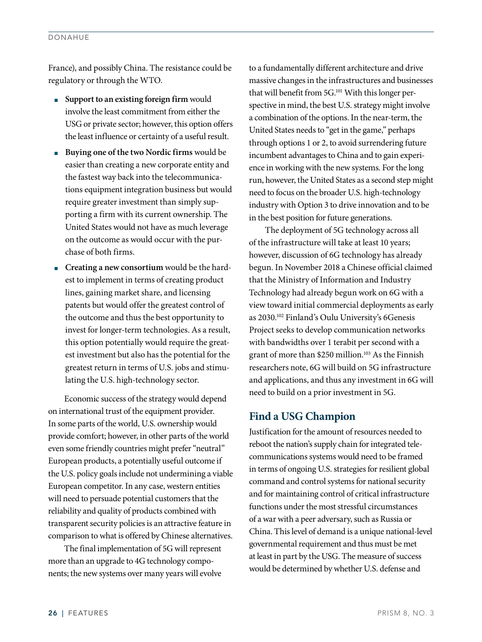France), and possibly China. The resistance could be regulatory or through the WTO.

- **Support to an existing foreign firm** would involve the least commitment from either the USG or private sector; however, this option offers the least influence or certainty of a useful result.
- **Buying one of the two Nordic firms** would be easier than creating a new corporate entity and the fastest way back into the telecommunications equipment integration business but would require greater investment than simply supporting a firm with its current ownership. The United States would not have as much leverage on the outcome as would occur with the purchase of both firms.
- **Creating a new consortium** would be the hardest to implement in terms of creating product lines, gaining market share, and licensing patents but would offer the greatest control of the outcome and thus the best opportunity to invest for longer-term technologies. As a result, this option potentially would require the greatest investment but also has the potential for the greatest return in terms of U.S. jobs and stimulating the U.S. high-technology sector.

Economic success of the strategy would depend on international trust of the equipment provider. In some parts of the world, U.S. ownership would provide comfort; however, in other parts of the world even some friendly countries might prefer "neutral" European products, a potentially useful outcome if the U.S. policy goals include not undermining a viable European competitor. In any case, western entities will need to persuade potential customers that the reliability and quality of products combined with transparent security policies is an attractive feature in comparison to what is offered by Chinese alternatives.

The final implementation of 5G will represent more than an upgrade to 4G technology components; the new systems over many years will evolve to a fundamentally different architecture and drive massive changes in the infrastructures and businesses that will benefit from 5G.101 With this longer perspective in mind, the best U.S. strategy might involve a combination of the options. In the near-term, the United States needs to "get in the game," perhaps through options 1 or 2, to avoid surrendering future incumbent advantages to China and to gain experience in working with the new systems. For the long run, however, the United States as a second step might need to focus on the broader U.S. high-technology industry with Option 3 to drive innovation and to be in the best position for future generations.

The deployment of 5G technology across all of the infrastructure will take at least 10 years; however, discussion of 6G technology has already begun. In November 2018 a Chinese official claimed that the Ministry of Information and Industry Technology had already begun work on 6G with a view toward initial commercial deployments as early as 2030.102 Finland's Oulu University's 6Genesis Project seeks to develop communication networks with bandwidths over 1 terabit per second with a grant of more than \$250 million.<sup>103</sup> As the Finnish researchers note, 6G will build on 5G infrastructure and applications, and thus any investment in 6G will need to build on a prior investment in 5G.

## **Find a USG Champion**

Justification for the amount of resources needed to reboot the nation's supply chain for integrated telecommunications systems would need to be framed in terms of ongoing U.S. strategies for resilient global command and control systems for national security and for maintaining control of critical infrastructure functions under the most stressful circumstances of a war with a peer adversary, such as Russia or China. This level of demand is a unique national-level governmental requirement and thus must be met at least in part by the USG. The measure of success would be determined by whether U.S. defense and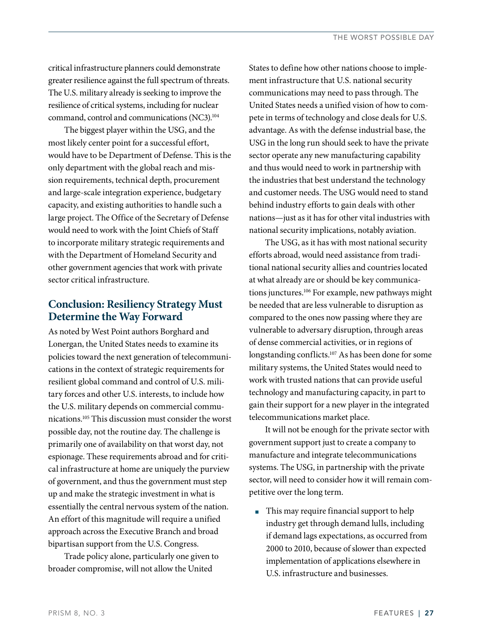critical infrastructure planners could demonstrate greater resilience against the full spectrum of threats. The U.S. military already is seeking to improve the resilience of critical systems, including for nuclear command, control and communications (NC3).104

The biggest player within the USG, and the most likely center point for a successful effort, would have to be Department of Defense. This is the only department with the global reach and mission requirements, technical depth, procurement and large-scale integration experience, budgetary capacity, and existing authorities to handle such a large project. The Office of the Secretary of Defense would need to work with the Joint Chiefs of Staff to incorporate military strategic requirements and with the Department of Homeland Security and other government agencies that work with private sector critical infrastructure.

# **Conclusion: Resiliency Strategy Must Determine the Way Forward**

As noted by West Point authors Borghard and Lonergan, the United States needs to examine its policies toward the next generation of telecommunications in the context of strategic requirements for resilient global command and control of U.S. military forces and other U.S. interests, to include how the U.S. military depends on commercial communications.105 This discussion must consider the worst possible day, not the routine day. The challenge is primarily one of availability on that worst day, not espionage. These requirements abroad and for critical infrastructure at home are uniquely the purview of government, and thus the government must step up and make the strategic investment in what is essentially the central nervous system of the nation. An effort of this magnitude will require a unified approach across the Executive Branch and broad bipartisan support from the U.S. Congress.

Trade policy alone, particularly one given to broader compromise, will not allow the United

States to define how other nations choose to implement infrastructure that U.S. national security communications may need to pass through. The United States needs a unified vision of how to compete in terms of technology and close deals for U.S. advantage. As with the defense industrial base, the USG in the long run should seek to have the private sector operate any new manufacturing capability and thus would need to work in partnership with the industries that best understand the technology and customer needs. The USG would need to stand behind industry efforts to gain deals with other nations—just as it has for other vital industries with national security implications, notably aviation.

The USG, as it has with most national security efforts abroad, would need assistance from traditional national security allies and countries located at what already are or should be key communications junctures.106 For example, new pathways might be needed that are less vulnerable to disruption as compared to the ones now passing where they are vulnerable to adversary disruption, through areas of dense commercial activities, or in regions of longstanding conflicts.<sup>107</sup> As has been done for some military systems, the United States would need to work with trusted nations that can provide useful technology and manufacturing capacity, in part to gain their support for a new player in the integrated telecommunications market place.

It will not be enough for the private sector with government support just to create a company to manufacture and integrate telecommunications systems. The USG, in partnership with the private sector, will need to consider how it will remain competitive over the long term.

■ This may require financial support to help industry get through demand lulls, including if demand lags expectations, as occurred from 2000 to 2010, because of slower than expected implementation of applications elsewhere in U.S. infrastructure and businesses.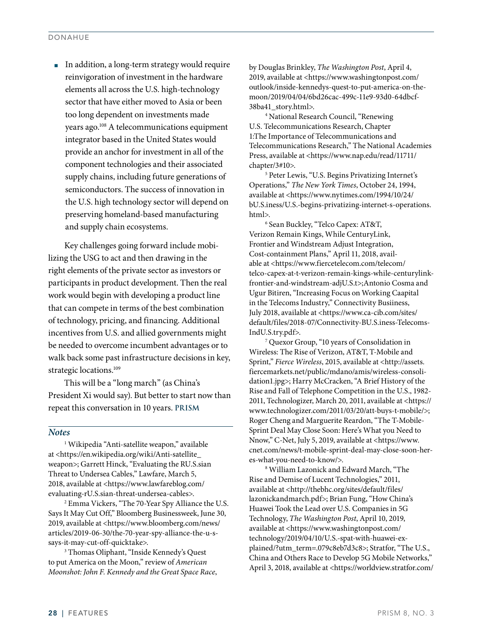■ In addition, a long-term strategy would require reinvigoration of investment in the hardware elements all across the U.S. high-technology sector that have either moved to Asia or been too long dependent on investments made years ago.108 A telecommunications equipment integrator based in the United States would provide an anchor for investment in all of the component technologies and their associated supply chains, including future generations of semiconductors. The success of innovation in the U.S. high technology sector will depend on preserving homeland-based manufacturing and supply chain ecosystems.

Key challenges going forward include mobilizing the USG to act and then drawing in the right elements of the private sector as investors or participants in product development. Then the real work would begin with developing a product line that can compete in terms of the best combination of technology, pricing, and financing. Additional incentives from U.S. and allied governments might be needed to overcome incumbent advantages or to walk back some past infrastructure decisions in key, strategic locations.<sup>109</sup>

This will be a "long march" (as China's President Xi would say). But better to start now than repeat this conversation in 10 years. **PRISM**

#### *Notes*

1 Wikipedia "Anti-satellite weapon," available at <https://en.wikipedia.org/wiki/Anti-satellite\_ weapon>; Garrett Hinck, "Evaluating the RU.S.sian Threat to Undersea Cables," Lawfare, March 5, 2018, available at <https://www.lawfareblog.com/ evaluating-rU.S.sian-threat-undersea-cables>.

2 Emma Vickers, "The 70-Year Spy Alliance the U.S. Says It May Cut Off," Bloomberg Businessweek, June 30, 2019, available at <https://www.bloomberg.com/news/ articles/2019-06-30/the-70-year-spy-alliance-the-u-ssays-it-may-cut-off-quicktake>.

3 Thomas Oliphant, "Inside Kennedy's Quest to put America on the Moon," review of *American Moonshot: John F. Kennedy and the Great Space Race*, by Douglas Brinkley, *The Washington Post*, April 4, 2019, available at <https://www.washingtonpost.com/ outlook/inside-kennedys-quest-to-put-america-on-themoon/2019/04/04/6bd26cac-499c-11e9-93d0-64dbcf-38ba41\_story.html>.

4 National Research Council, "Renewing U.S. Telecommunications Research, Chapter 1:The Importance of Telecommunications and Telecommunications Research," The National Academies Press, available at <https://www.nap.edu/read/11711/ chapter/3#10>.

5 Peter Lewis, "U.S. Begins Privatizing Internet's Operations," *The New York Times*, October 24, 1994, available at <https://www.nytimes.com/1994/10/24/ bU.S.iness/U.S.-begins-privatizing-internet-s-operations. html>.

6 Sean Buckley, "Telco Capex: AT&T, Verizon Remain Kings, While CenturyLink, Frontier and Windstream Adjust Integration, Cost-containment Plans," April 11, 2018, available at <https://www.fiercetelecom.com/telecom/ telco-capex-at-t-verizon-remain-kings-while-centurylinkfrontier-and-windstream-adjU.S.t>;Antonio Cosma and Ugur Bitiren, "Increasing Focus on Working Caapital in the Telecoms Industry," Connectivity Busiiness, July 2018, available at <https://www.ca-cib.com/sites/ default/files/2018-07/Connectivity-BU.S.iness-Telecoms-IndU.S.try.pdf>.

7 Quexor Group, "10 years of Consolidation in Wireless: The Rise of Verizon, AT&T, T-Mobile and Sprint," *Fierce Wireless*, 2015, available at <http://assets. fiercemarkets.net/public/mdano/amis/wireless-consolidation1.jpg>; Harry McCracken, "A Brief History of the Rise and Fall of Telephone Competition in the U.S., 1982- 2011, Technologizer, March 20, 2011, available at <https:// www.technologizer.com/2011/03/20/att-buys-t-mobile/>; Roger Cheng and Marguerite Reardon, "The T-Mobile-Sprint Deal May Close Soon: Here's What you Need to Nnow," C-Net, July 5, 2019, available at <https://www. cnet.com/news/t-mobile-sprint-deal-may-close-soon-heres-what-you-need-to-know/>.

8 William Lazonick and Edward March, "The Rise and Demise of Lucent Technologies," 2011, available at <http://thebhc.org/sites/default/files/ lazonickandmarch.pdf>; Brian Fung, "How China's Huawei Took the Lead over U.S. Companies in 5G Technology, *The Washington Post*, April 10, 2019, available at <https://www.washingtonpost.com/ technology/2019/04/10/U.S.-spat-with-huawei-explained/?utm\_term=.079c8eb7d3c8>; Stratfor, "The U.S., China and Others Race to Develop 5G Mobile Networks," April 3, 2018, available at <https://worldview.stratfor.com/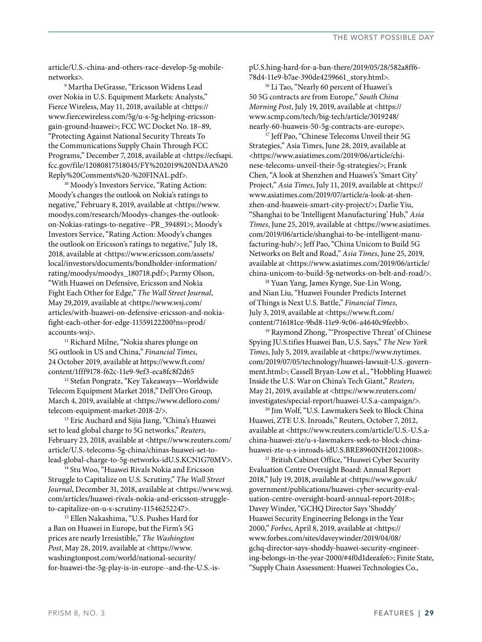article/U.S.-china-and-others-race-develop-5g-mobilenetworks>.

9 Martha DeGrasse, "Ericsson Widens Lead over Nokia in U.S. Equipment Markets: Analysts," Fierce Wireless, May 11, 2018, available at <https:// www.fiercewireless.com/5g/u-s-5g-helping-ericssongain-ground-huawei>; FCC WC Docket No. 18–89, "Protecting Against National Security Threats To the Communications Supply Chain Through FCC Programs," December 7, 2018, available at <https://ecfsapi. fcc.gov/file/12080817518045/FY%202019%20NDAA%20 Reply%20Comments%20-%20FINAL.pdf>.

<sup>10</sup> Moody's Investors Service, "Rating Action: Moody's changes the outlook on Nokia's ratings to negative," February 8, 2019, available at <https://www. moodys.com/research/Moodys-changes-the-outlookon-Nokias-ratings-to-negative--PR\_394891>; Moody's Investors Service, "Rating Action: Moody's changes the outlook on Ericsson's ratings to negative," July 18, 2018, available at <https://www.ericsson.com/assets/ local/investors/documents/bondholder-information/ rating/moodys/moodys\_180718.pdf>; Parmy Olson, "With Huawei on Defensive, Ericsson and Nokia Fight Each Other for Edge," *The Wall Street Journal*, May 29,2019, available at <https://www.wsj.com/ articles/with-huawei-on-defensive-ericsson-and-nokiafight-each-other-for-edge-11559122200?ns=prod/ accounts-wsj>.

<sup>11</sup> Richard Milne, "Nokia shares plunge on 5G outlook in US and China," *Financial Times*, 24 October 2019, available at https://www.ft.com/

<sup>12</sup> Stefan Pongratz, "Key Takeaways—Worldwide Telecom Equipment Market 2018," Dell'Oro Group, March 4, 2019, available at <https://www.delloro.com/ telecom-equipment-market-2018-2/>.

<sup>13</sup> Eric Auchard and Sijia Jiang, "China's Huawei set to lead global charge to 5G networks," *Reuters*, February 23, 2018, available at <https://www.reuters.com/ article/U.S.-telecoms-5g-china/chinas-huawei-set-tolead-global-charge-to-5g-networks-idU.S.KCN1G70MV>.

<sup>14</sup> Stu Woo, "Huawei Rivals Nokia and Ericsson Struggle to Capitalize on U.S. Scrutiny," *The Wall Street Journal*, December 31, 2018, available at <https://www.wsj. com/articles/huawei-rivals-nokia-and-ericsson-struggleto-capitalize-on-u-s-scrutiny-11546252247>.

15 Ellen Nakashima, "U.S. Pushes Hard for a Ban on Huawei in Europe, but the Firm's 5G prices are nearly Irresistible," *The Washington Post*, May 28, 2019, available at <https://www. washingtonpost.com/world/national-security/ for-huawei-the-5g-play-is-in-europe--and-the-U.S.-ispU.S.hing-hard-for-a-ban-there/2019/05/28/582a8ff6- 78d4-11e9-b7ae-390de4259661\_story.html>.

<sup>16</sup> Li Tao, "Nearly 60 percent of Huawei's 50 5G contracts are from Europe," *South China Morning Post*, July 19, 2019, available at <https:// www.scmp.com/tech/big-tech/article/3019248/ nearly-60-huaweis-50-5g-contracts-are-europe>.

<sup>17</sup> Jeff Pao, "Chinese Telecoms Unveil their 5G Strategies," Asia Times, June 28, 2019, available at <https://www.asiatimes.com/2019/06/article/chinese-telecoms-unveil-their-5g-strategies/>; Frank Chen, "A look at Shenzhen and Huawei's 'Smart City' Project," *Asia Times*, July 11, 2019, available at <https:// www.asiatimes.com/2019/07/article/a-look-at-shenzhen-and-huaweis-smart-city-project/>; Darlie Yiu, "Shanghai to be 'Intelligent Manufacturing' Hub," *Asia Times*, June 25, 2019, available at <https://www.asiatimes. com/2019/06/article/shanghai-to-be-intelligent-manufacturing-hub/>; Jeff Pao, "China Unicom to Build 5G Networks on Belt and Road," *Asia Times*, June 25, 2019, available at <https://www.asiatimes.com/2019/06/article/ china-unicom-to-build-5g-networks-on-belt-and-road/>.

<sup>18</sup> Yuan Yang, James Kynge, Sue-Lin Wong, and Nian Liu, "Huawei Founder Predicts Internet of Things is Next U.S. Battle," *Financial Times*, July 3, 2019, available at <https://www.ft.com/ content/716181ce-9bd8-11e9-9c06-a4640c9feebb>.

19 Raymond Zhong, "'Prospective Threat' of Chinese Spying JU.S.tifies Huawei Ban, U.S. Says," *The New York Times*, July 5, 2019, available at <https://www.nytimes. com/2019/07/05/technology/huawei-lawsuit-U.S.-government.html>; Cassell Bryan-Low et al., "Hobbling Huawei: Inside the U.S. War on China's Tech Giant," *Reuters*, May 21, 2019, available at <https://www.reuters.com/ investigates/special-report/huawei-U.S.a-campaign/>.

20 Jim Wolf, "U.S. Lawmakers Seek to Block China Huawei, ZTE U.S. Inroads," Reuters, October 7, 2012, available at <https://www.reuters.com/article/U.S.-U.S.achina-huawei-zte/u-s-lawmakers-seek-to-block-chinahuawei-zte-u-s-inroads-idU.S.BRE8960NH20121008>.

21 British Cabinet Office, "Huawei Cyber Security Evaluation Centre Oversight Board: Annual Report 2018," July 19, 2018, available at <https://www.gov.uk/ government/publications/huawei-cyber-security-evaluation-centre-oversight-board-annual-report-2018>; Davey Winder, "GCHQ Director Says 'Shoddy' Huawei Security Engineering Belongs in the Year 2000," *Forbes*, April 8, 2019, available at <https:// www.forbes.com/sites/daveywinder/2019/04/08/ gchq-director-says-shoddy-huawei-security-engineering-belongs-in-the-year-2000/#4f0d1deeafe6>; Finite State, "Supply Chain Assessment: Huawei Technologies Co.,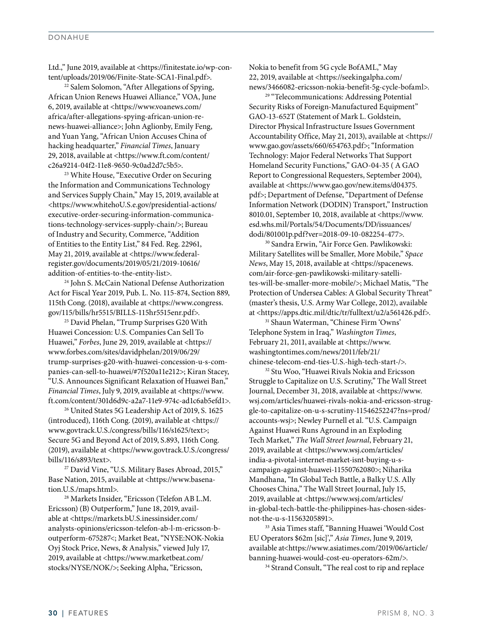#### DONAHUE

Ltd.," June 2019, available at <https://finitestate.io/wp-content/uploads/2019/06/Finite-State-SCA1-Final.pdf>.

<sup>22</sup> Salem Solomon, "After Allegations of Spying, African Union Renews Huawei Alliance," VOA, June 6, 2019, available at <https://www.voanews.com/ africa/after-allegations-spying-african-union-renews-huawei-alliance>; John Aglionby, Emily Feng, and Yuan Yang, "African Union Accuses China of hacking headquarter," *Financial Times*, January 29, 2018, available at <https://www.ft.com/content/ c26a9214-04f2-11e8-9650-9c0ad2d7c5b5>.

23 White House, "Executive Order on Securing the Information and Communications Technology and Services Supply Chain," May 15, 2019, available at <https://www.whitehoU.S.e.gov/presidential-actions/ executive-order-securing-information-communications-technology-services-supply-chain/>; Bureau of Industry and Security, Commerce, "Addition of Entities to the Entity List," 84 Fed. Reg. 22961, May 21, 2019, available at <https://www.federalregister.gov/documents/2019/05/21/2019-10616/ addition-of-entities-to-the-entity-list>.

24 John S. McCain National Defense Authorization Act for Fiscal Year 2019, Pub. L. No. 115-874, Section 889, 115th Cong. (2018), available at <https://www.congress. gov/115/bills/hr5515/BILLS-115hr5515enr.pdf>.

<sup>25</sup> David Phelan, "Trump Surprises G20 With Huawei Concession: U.S. Companies Can Sell To Huawei," *Forbes*, June 29, 2019, available at <https:// www.forbes.com/sites/davidphelan/2019/06/29/ trump-surprises-g20-with-huawei-concession-u-s-companies-can-sell-to-huawei/#7f520a11e212>; Kiran Stacey, "U.S. Announces Significant Relaxation of Huawei Ban," *Financial Times*, July 9, 2019, available at <https://www. ft.com/content/301d6d9c-a2a7-11e9-974c-ad1c6ab5efd1>.

26 United States 5G Leadership Act of 2019, S. 1625 (introduced), 116th Cong. (2019), available at <https:// www.govtrack.U.S./congress/bills/116/s1625/text>; Secure 5G and Beyond Act of 2019, S.893, 116th Cong. (2019), available at <https://www.govtrack.U.S./congress/ bills/116/s893/text>.

<sup>27</sup> David Vine, "U.S. Military Bases Abroad, 2015," Base Nation, 2015, available at <https://www.basenation.U.S./maps.html>.

28 Markets Insider, "Ericsson (Telefon AB L.M. Ericsson) (B) Outperform," June 18, 2019, available at <https://markets.bU.S.inessinsider.com/ analysts-opinions/ericsson-telefon-ab-l-m-ericsson-boutperform-675287<; Market Beat, "NYSE:NOK-Nokia Oyj Stock Price, News, & Analysis," viewed July 17, 2019, available at <https://www.marketbeat.com/ stocks/NYSE/NOK/>; Seeking Alpha, "Ericsson,

Nokia to benefit from 5G cycle BofAML," May 22, 2019, available at <https://seekingalpha.com/ news/3466082-ericsson-nokia-benefit-5g-cycle-bofaml>.

<sup>29</sup> "Telecommunications: Addressing Potential Security Risks of Foreign-Manufactured Equipment" GAO-13-652T (Statement of Mark L. Goldstein, Director Physical Infrastructure Issues Government Accountability Office, May 21, 2013), available at <https:// www.gao.gov/assets/660/654763.pdf>; "Information Technology: Major Federal Networks That Support Homeland Security Functions," GAO-04-35 ( A GAO Report to Congressional Requesters, September 2004), available at <https://www.gao.gov/new.items/d04375. pdf>; Department of Defense, "Department of Defense Information Network (DODIN) Transport," Instruction 8010.01, September 10, 2018, available at <https://www. esd.whs.mil/Portals/54/Documents/DD/issuances/ dodi/801001p.pdf?ver=2018-09-10-082254-477>.

30 Sandra Erwin, "Air Force Gen. Pawlikowski: Military Satellites will be Smaller, More Mobile," *Space News*, May 15, 2018, available at <https://spacenews. com/air-force-gen-pawlikowski-military-satellites-will-be-smaller-more-mobile/>; Michael Matis, "The Protection of Undersea Cables: A Global Security Threat" (master's thesis, U.S. Army War College, 2012), available at <https://apps.dtic.mil/dtic/tr/fulltext/u2/a561426.pdf>.

31 Shaun Waterman, "Chinese Firm 'Owns' Telephone System in Iraq," *Washington Times*, February 21, 2011, available at <https://www. washingtontimes.com/news/2011/feb/21/ chinese-telecom-end-ties-U.S.-high-tech-start-/>.

32 Stu Woo, "Huawei Rivals Nokia and Ericsson Struggle to Capitalize on U.S. Scrutiny," The Wall Street Journal, December 31, 2018, available at <https://www. wsj.com/articles/huawei-rivals-nokia-and-ericsson-struggle-to-capitalize-on-u-s-scrutiny-11546252247?ns=prod/ accounts-wsj>; Newley Purnell et al. "U.S. Campaign Against Huawei Runs Aground in an Exploding Tech Market," *The Wall Street Journal*, February 21, 2019, available at <https://www.wsj.com/articles/ india-a-pivotal-internet-market-isnt-buying-u-scampaign-against-huawei-11550762080>; Niharika Mandhana, "In Global Tech Battle, a Balky U.S. Ally Chooses China," The Wall Street Journal, July 15, 2019, available at <https://www.wsj.com/articles/ in-global-tech-battle-the-philippines-has-chosen-sidesnot-the-u-s-11563205891>.

33 Asia Times staff, "Banning Huawei 'Would Cost EU Operators \$62m [sic]'," *Asia Times*, June 9, 2019, available at<https://www.asiatimes.com/2019/06/article/ banning-huawei-would-cost-eu-operators-62m/>.

<sup>34</sup> Strand Consult, "The real cost to rip and replace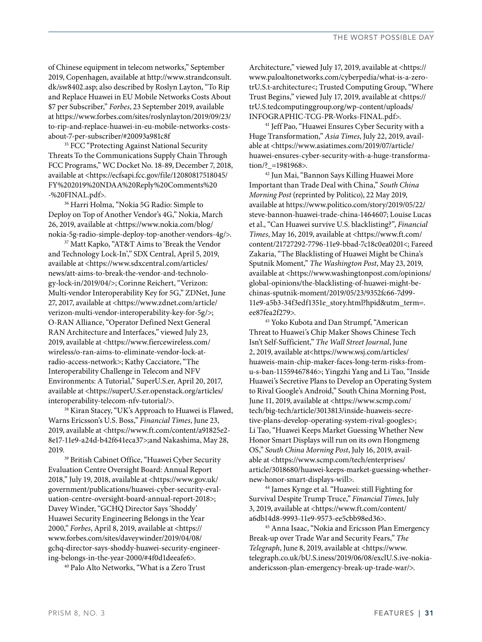of Chinese equipment in telecom networks," September 2019, Copenhagen, available at http://www.strandconsult. dk/sw8402.asp; also described by Roslyn Layton, "To Rip and Replace Huawei in EU Mobile Networks Costs About \$7 per Subscriber," *Forbes*, 23 September 2019, available at https://www.forbes.com/sites/roslynlayton/2019/09/23/ to-rip-and-replace-huawei-in-eu-mobile-networks-costs-

about-7-per-subscriber/#20093a981c8f 35 FCC "Protecting Against National Security Threats To the Communications Supply Chain Through FCC Programs," WC Docket No. 18-89, December 7, 2018, available at <https://ecfsapi.fcc.gov/file/12080817518045/ FY%202019%20NDAA%20Reply%20Comments%20 -%20FINAL.pdf>.

36 Harri Holma, "Nokia 5G Radio: Simple to Deploy on Top of Another Vendor's 4G," Nokia, March 26, 2019, available at <https://www.nokia.com/blog/ nokia-5g-radio-simple-deploy-top-another-vendors-4g/>.

37 Matt Kapko, "AT&T Aims to 'Break the Vendor and Technology Lock-In'," SDX Central, April 5, 2019, available at <https://www.sdxcentral.com/articles/ news/att-aims-to-break-the-vendor-and-technology-lock-in/2019/04/>; Corinne Reichert, "Verizon: Multi-vendor Interoperability Key for 5G," ZDNet, June 27, 2017, available at <https://www.zdnet.com/article/ verizon-multi-vendor-interoperability-key-for-5g/>; O-RAN Alliance, "Operator Defined Next General RAN Architecture and Interfaces," viewed July 23, 2019, available at <https://www.fiercewireless.com/ wireless/o-ran-aims-to-eliminate-vendor-lock-atradio-access-network>; Kathy Cacciatore, "The Interoperability Challenge in Telecom and NFV Environments: A Tutorial," SuperU.S.er, April 20, 2017, available at <https://superU.S.er.openstack.org/articles/ interoperability-telecom-nfv-tutorial/>.

38 Kiran Stacey, "UK's Approach to Huawei is Flawed, Warns Ericsson's U.S. Boss," *Financial Times*, June 23, 2019, available at <https://www.ft.com/content/a91825e2- 8e17-11e9-a24d-b42f641eca37>;and Nakashima, May 28, 2019. 39 British Cabinet Office, "Huawei Cyber Security

Evaluation Centre Oversight Board: Annual Report 2018," July 19, 2018, available at <https://www.gov.uk/ government/publications/huawei-cyber-security-evaluation-centre-oversight-board-annual-report-2018>; Davey Winder, "GCHQ Director Says 'Shoddy' Huawei Security Engineering Belongs in the Year 2000," *Forbes*, April 8, 2019, available at <https:// www.forbes.com/sites/daveywinder/2019/04/08/ gchq-director-says-shoddy-huawei-security-engineering-belongs-in-the-year-2000/#4f0d1deeafe6>.

40 Palo Alto Networks, "What is a Zero Trust

Architecture," viewed July 17, 2019, available at <https:// www.paloaltonetworks.com/cyberpedia/what-is-a-zerotrU.S.t-architecture<; Trusted Computing Group, "Where Trust Begins," viewed July 17, 2019, available at <https:// trU.S.tedcomputinggroup.org/wp-content/uploads/ INFOGRAPHIC-TCG-PR-Works-FINAL.pdf>.

41 Jeff Pao, "Huawei Ensures Cyber Security with a Huge Transformation," *Asia Times*, July 22, 2019, available at <https://www.asiatimes.com/2019/07/article/ huawei-ensures-cyber-security-with-a-huge-transformation/? =1981968>.

42 Jun Mai, "Bannon Says Killing Huawei More Important than Trade Deal with China," *South China Morning Post* (reprinted by Politico), 22 May 2019, available at https://www.politico.com/story/2019/05/22/ steve-bannon-huawei-trade-china-1464607; Louise Lucas et al., "Can Huawei survive U.S. blacklisting?", *Financial Times*, May 16, 2019, available at <https://www.ft.com/ content/21727292-7796-11e9-bbad-7c18c0ea0201<; Fareed Zakaria, "The Blacklisting of Huawei Might be China's Sputnik Moment," *The Washington Post*, May 23, 2019, available at <https://www.washingtonpost.com/opinions/ global-opinions/the-blacklisting-of-huawei-might-bechinas-sputnik-moment/2019/05/23/9352fc66-7d99- 11e9-a5b3-34f3edf1351e\_story.html?hpid&utm\_term=. ee87fea2f279>.

43 Yoko Kubota and Dan Strumpf, "American Threat to Huawei's Chip Maker Shows Chinese Tech Isn't Self-Sufficient," *The Wall Street Journal*, June 2, 2019, available at<https://www.wsj.com/articles/ huaweis-main-chip-maker-faces-long-term-risks-fromu-s-ban-11559467846>; Yingzhi Yang and Li Tao, "Inside Huawei's Secretive Plans to Develop an Operating System to Rival Google's Android," South China Morning Post, June 11, 2019, available at <https://www.scmp.com/ tech/big-tech/article/3013813/inside-huaweis-secretive-plans-develop-operating-system-rival-googles>; Li Tao, "Huawei Keeps Market Guessing Whether New Honor Smart Displays will run on its own Hongmeng OS," *South China Morning Post*, July 16, 2019, available at <https://www.scmp.com/tech/enterprises/ article/3018680/huawei-keeps-market-guessing-whethernew-honor-smart-displays-will>.

44 James Kynge et al. "Huawei: still Fighting for Survival Despite Trump Truce," *Financial Times*, July 3, 2019, available at <https://www.ft.com/content/ a6db14d8-9993-11e9-9573-ee5cbb98ed36>.

45 Anna Isaac, "Nokia and Ericsson Plan Emergency Break-up over Trade War and Security Fears," *The Telegraph*, June 8, 2019, available at <https://www. telegraph.co.uk/bU.S.iness/2019/06/08/exclU.S.ive-nokiaandericsson-plan-emergency-break-up-trade-war/>.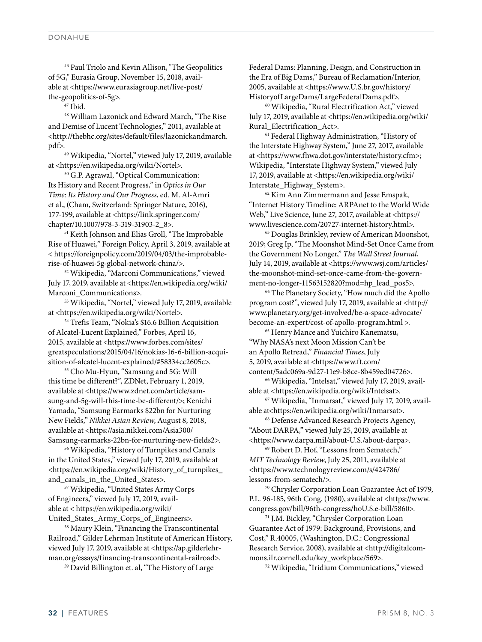46 Paul Triolo and Kevin Allison, "The Geopolitics of 5G," Eurasia Group, November 15, 2018, available at <https://www.eurasiagroup.net/live-post/ the-geopolitics-of-5g>.

 $47$  Ibid.

48 William Lazonick and Edward March, "The Rise and Demise of Lucent Technologies," 2011, available at <http://thebhc.org/sites/default/files/lazonickandmarch. pdf>.49 Wikipedia, "Nortel," viewed July 17, 2019, available

at <https://en.wikipedia.org/wiki/Nortel>.

50 G.P. Agrawal, "Optical Communication: Its History and Recent Progress," in *Optics in Our Time: Its History and Our Progress*, ed. M. Al-Amri et al., (Cham, Switzerland: Springer Nature, 2016), 177-199, available at <https://link.springer.com/ chapter/10.1007/978-3-319-31903-2\_8>.

<sup>51</sup> Keith Johnson and Elias Groll, "The Improbable Rise of Huawei," Foreign Policy, April 3, 2019, available at < https://foreignpolicy.com/2019/04/03/the-improbablerise-of-huawei-5g-global-network-china/>.

52 Wikipedia, "Marconi Communications," viewed July 17, 2019, available at <https://en.wikipedia.org/wiki/ Marconi\_Communications>.

53 Wikipedia, "Nortel," viewed July 17, 2019, available at <https://en.wikipedia.org/wiki/Nortel>.

54 Trefis Team, "Nokia's \$16.6 Billion Acquisition of Alcatel-Lucent Explained," Forbes, April 16, 2015, available at <https://www.forbes.com/sites/ greatspeculations/2015/04/16/nokias-16-6-billion-acquisition-of-alcatel-lucent-explained/#58334cc2605c>.

55 Cho Mu-Hyun, "Samsung and 5G: Will this time be different?", ZDNet, February 1, 2019, available at <https://www.zdnet.com/article/samsung-and-5g-will-this-time-be-different/>; Kenichi Yamada, "Samsung Earmarks \$22bn for Nurturing New Fields," *Nikkei Asian Review*, August 8, 2018, available at <https://asia.nikkei.com/Asia300/ Samsung-earmarks-22bn-for-nurturing-new-fields2>.

56 Wikipedia, "History of Turnpikes and Canals in the United States," viewed July 17, 2019, available at <https://en.wikipedia.org/wiki/History\_of\_turnpikes\_ and\_canals\_in\_the\_United\_States>.

57 Wikipedia, "United States Army Corps of Engineers," viewed July 17, 2019, available at < https://en.wikipedia.org/wiki/ United\_States\_Army\_Corps\_of\_Engineers>.

58 Maury Klein, "Financing the Transcontinental Railroad," Gilder Lehrman Institute of American History, viewed July 17, 2019, available at <https://ap.gilderlehrman.org/essays/financing-transcontinental-railroad>.

59 David Billington et. al, "The History of Large

Federal Dams: Planning, Design, and Construction in the Era of Big Dams," Bureau of Reclamation/Interior, 2005, available at <https://www.U.S.br.gov/history/ HistoryofLargeDams/LargeFederalDams.pdf>.

60 Wikipedia, "Rural Electrification Act," viewed July 17, 2019, available at <https://en.wikipedia.org/wiki/ Rural\_Electrification\_Act>.

61 Federal Highway Administration, "History of the Interstate Highway System," June 27, 2017, available at <https://www.fhwa.dot.gov/interstate/history.cfm>; Wikipedia, "Interstate Highway System," viewed July 17, 2019, available at <https://en.wikipedia.org/wiki/ Interstate\_Highway\_System>.

62 Kim Ann Zimmermann and Jesse Emspak, "Internet History Timeline: ARPAnet to the World Wide Web," Live Science, June 27, 2017, available at <https:// www.livescience.com/20727-internet-history.html>.

63 Douglas Brinkley, review of American Moonshot, 2019; Greg Ip, "The Moonshot Mind-Set Once Came from the Government No Longer," *The Wall Street Journal*, July 14, 2019, available at <https://www.wsj.com/articles/ the-moonshot-mind-set-once-came-from-the-government-no-longer-11563152820?mod=hp\_lead\_pos5>.

64 The Planetary Society, "How much did the Apollo program cost?", viewed July 17, 2019, available at <http:// www.planetary.org/get-involved/be-a-space-advocate/ become-an-expert/cost-of-apollo-program.html >.

65 Henry Mance and Yuichiro Kanematsu, "Why NASA's next Moon Mission Can't be an Apollo Retread," *Financial Times*, July 5, 2019, available at <https://www.ft.com/

content/5adc069a-9d27-11e9-b8ce-8b459ed04726>. 66 Wikipedia, "Intelsat," viewed July 17, 2019, available at <https://en.wikipedia.org/wiki/Intelsat>.

67 Wikipedia, "Inmarsat," viewed July 17, 2019, available at<https://en.wikipedia.org/wiki/Inmarsat>.<br><sup>68</sup> Defense Advanced Research Projects Agency,

"About DARPA," viewed July 25, 2019, available at <https://www.darpa.mil/about-U.S./about-darpa>.

69 Robert D. Hof, "Lessons from Sematech," *MIT Technology Review*, July 25, 2011, available at <https://www.technologyreview.com/s/424786/ lessons-from-sematech/>.

70 Chrysler Corporation Loan Guarantee Act of 1979, P.L. 96-185, 96th Cong. (1980), available at <https://www. congress.gov/bill/96th-congress/hoU.S.e-bill/5860>.

71 J.M. Bickley, "Chrysler Corporation Loan Guarantee Act of 1979: Background, Provisions, and Cost," R.40005, (Washington, D.C.: Congressional Research Service, 2008), available at <http://digitalcommons.ilr.cornell.edu/key\_workplace/569>.

72 Wikipedia, "Iridium Communications," viewed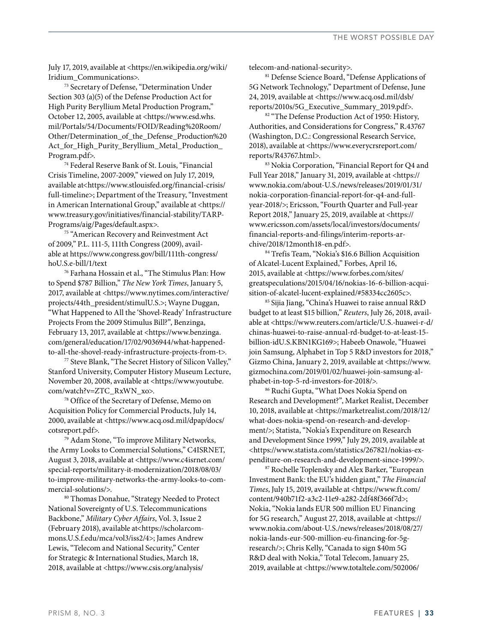July 17, 2019, available at <https://en.wikipedia.org/wiki/ Iridium\_Communications>.

73 Secretary of Defense, "Determination Under Section 303 (a)(5) of the Defense Production Act for High Purity Beryllium Metal Production Program," October 12, 2005, available at <https://www.esd.whs. mil/Portals/54/Documents/FOID/Reading%20Room/ Other/Determination\_of\_the\_Defense\_Production%20 Act\_for\_High\_Purity\_Beryllium\_Metal\_Production\_ Program.pdf>.

74 Federal Reserve Bank of St. Louis, "Financial Crisis Timeline, 2007-2009," viewed on July 17, 2019, available at<https://www.stlouisfed.org/financial-crisis/ full-timeline>; Department of the Treasury, "Investment in American International Group," available at <https:// www.treasury.gov/initiatives/financial-stability/TARP-Programs/aig/Pages/default.aspx>.

<sup>75</sup> "American Recovery and Reinvestment Act of 2009," P.L. 111-5, 111th Congress (2009), available at https://www.congress.gov/bill/111th-congress/ hoU.S.e-bill/1/text 76 Farhana Hossain et al., "The Stimulus Plan: How

to Spend \$787 Billion," *The New York Times*, January 5, 2017, available at <https://www.nytimes.com/interactive/ projects/44th\_president/stimulU.S.>; Wayne Duggan, "What Happened to All the 'Shovel-Ready' Infrastructure Projects From the 2009 Stimulus Bill?", Benzinga, February 13, 2017, available at <https://www.benzinga. com/general/education/17/02/9036944/what-happenedto-all-the-shovel-ready-infrastructure-projects-from-t>.

77 Steve Blank, "The Secret History of Silicon Valley," Stanford University, Computer History Museum Lecture, November 20, 2008, available at <https://www.youtube. com/watch?v=ZTC\_RxWN\_xo>.

78 Office of the Secretary of Defense, Memo on Acquisition Policy for Commercial Products, July 14, 2000, available at <https://www.acq.osd.mil/dpap/docs/ cotsreport.pdf>.

79 Adam Stone, "To improve Military Networks, the Army Looks to Commercial Solutions," C4ISRNET, August 3, 2018, available at <https://www.c4isrnet.com/ special-reports/military-it-modernization/2018/08/03/ to-improve-military-networks-the-army-looks-to-commercial-solutions/>.

80 Thomas Donahue, "Strategy Needed to Protect National Sovereignty of U.S. Telecommunications Backbone," *Military Cyber Affairs*, Vol. 3, Issue 2 (February 2018), available at<https://scholarcommons.U.S.f.edu/mca/vol3/iss2/4>; James Andrew Lewis, "Telecom and National Security," Center for Strategic & International Studies, March 18, 2018, available at <https://www.csis.org/analysis/

telecom-and-national-security>.

81 Defense Science Board, "Defense Applications of 5G Network Technology," Department of Defense, June 24, 2019, available at <https://www.acq.osd.mil/dsb/ reports/2010s/5G\_Executive\_Summary\_2019.pdf>.

<sup>82</sup> "The Defense Production Act of 1950: History, Authorities, and Considerations for Congress," R.43767 (Washington, D.C.: Congressional Research Service, 2018), available at <https://www.everycrsreport.com/ reports/R43767.html>.

83 Nokia Corporation, "Financial Report for Q4 and Full Year 2018," January 31, 2019, available at <https:// www.nokia.com/about-U.S./news/releases/2019/01/31/ nokia-corporation-financial-report-for-q4-and-fullyear-2018/>; Ericsson, "Fourth Quarter and Full-year Report 2018," January 25, 2019, available at <https:// www.ericsson.com/assets/local/investors/documents/ financial-reports-and-filings/interim-reports-archive/2018/12month18-en.pdf>.

84 Trefis Team, "Nokia's \$16.6 Billion Acquisition of Alcatel-Lucent Explained," Forbes, April 16, 2015, available at <https://www.forbes.com/sites/ greatspeculations/2015/04/16/nokias-16-6-billion-acquisition-of-alcatel-lucent-explained/#58334cc2605c>.

85 Sijia Jiang, "China's Huawei to raise annual R&D budget to at least \$15 billion," *Reuters*, July 26, 2018, available at <https://www.reuters.com/article/U.S.-huawei-r-d/ chinas-huawei-to-raise-annual-rd-budget-to-at-least-15 billion-idU.S.KBN1KG169>; Habeeb Onawole, "Huawei join Samsung, Alphabet in Top 5 R&D investors for 2018," Gizmo China, January 2, 2019, available at <https://www. gizmochina.com/2019/01/02/huawei-join-samsung-alphabet-in-top-5-rd-investors-for-2018/>.

86 Ruchi Gupta, "What Does Nokia Spend on Research and Development?", Market Realist, December 10, 2018, available at <https://marketrealist.com/2018/12/ what-does-nokia-spend-on-research-and-development/>; Statista, "Nokia's Expenditure on Research and Development Since 1999," July 29, 2019, available at <https://www.statista.com/statistics/267821/nokias-expenditure-on-research-and-development-since-1999/>.

87 Rochelle Toplensky and Alex Barker, "European Investment Bank: the EU's hidden giant," *The Financial Times*, July 15, 2019, available at <https://www.ft.com/ content/940b71f2-a3c2-11e9-a282-2df48f366f7d>; Nokia, "Nokia lands EUR 500 million EU Financing for 5G research," August 27, 2018, available at <https:// www.nokia.com/about-U.S./news/releases/2018/08/27/ nokia-lands-eur-500-million-eu-financing-for-5gresearch/>; Chris Kelly, "Canada to sign \$40m 5G R&D deal with Nokia," Total Telecom, January 25, 2019, available at <https://www.totaltele.com/502006/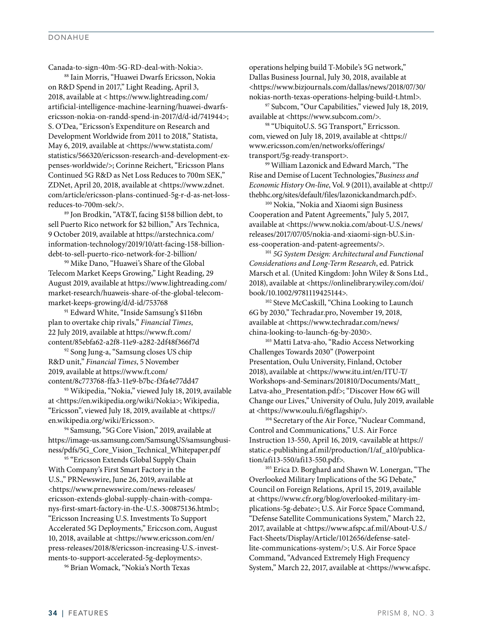#### DONAHUE

Canada-to-sign-40m-5G-RD-deal-with-Nokia>.

88 Iain Morris, "Huawei Dwarfs Ericsson, Nokia on R&D Spend in 2017," Light Reading, April 3, 2018, available at < https://www.lightreading.com/ artificial-intelligence-machine-learning/huawei-dwarfsericsson-nokia-on-randd-spend-in-2017/d/d-id/741944>; S. O'Dea, "Ericsson's Expenditure on Research and Development Worldwide from 2011 to 2018," Statista, May 6, 2019, available at <https://www.statista.com/ statistics/566320/ericsson-research-and-development-expenses-worldwide/>; Corinne Reichert, "Ericsson Plans Continued 5G R&D as Net Loss Reduces to 700m SEK," ZDNet, April 20, 2018, available at <https://www.zdnet. com/article/ericsson-plans-continued-5g-r-d-as-net-lossreduces-to-700m-sek/>.

89 Jon Brodkin, "AT&T, facing \$158 billion debt, to sell Puerto Rico network for \$2 billion," Ars Technica, 9 October 2019, available at https://arstechnica.com/ information-technology/2019/10/att-facing-158-billiondebt-to-sell-puerto-rico-network-for-2-billion/ 90 Mike Dano, "Huawei's Share of the Global

Telecom Market Keeps Growing," Light Reading, 29 August 2019, available at https://www.lightreading.com/ market-research/huaweis-share-of-the-global-telecommarket-keeps-growing/d/d-id/753768 91 Edward White, "Inside Samsung's \$116bn

plan to overtake chip rivals," *Financial Times*, 22 July 2019, available at https://www.ft.com/ content/85ebfa62-a2f8-11e9-a282-2df48f366f7d 92 Song Jung-a, "Samsung closes US chip

R&D unit," *Financial Times*, 5 November 2019, available at https://www.ft.com/ content/8c773768-ffa3-11e9-b7bc-f3fa4e77dd47 93 Wikipedia, "Nokia," viewed July 18, 2019, available

at <https://en.wikipedia.org/wiki/Nokia>; Wikipedia, "Ericsson", viewed July 18, 2019, available at <https:// en.wikipedia.org/wiki/Ericsson>.

94 Samsung, "5G Core Vision," 2019, available at https://image-us.samsung.com/SamsungUS/samsungbusiness/pdfs/5G\_Core\_Vision\_Technical\_Whitepaper.pdf 95 "Ericsson Extends Global Supply Chain

With Company's First Smart Factory in the U.S.," PRNewswire, June 26, 2019, available at <https://www.prnewswire.com/news-releases/ ericsson-extends-global-supply-chain-with-companys-first-smart-factory-in-the-U.S.-300875136.html>; "Ericsson Increasing U.S. Investments To Support Accelerated 5G Deployments," Ericcson.com, August 10, 2018, available at <https://www.ericsson.com/en/ press-releases/2018/8/ericsson-increasing-U.S.-investments-to-support-accelerated-5g-deployments>.

96 Brian Womack, "Nokia's North Texas

operations helping build T-Mobile's 5G network," Dallas Business Journal, July 30, 2018, available at <https://www.bizjournals.com/dallas/news/2018/07/30/ nokias-north-texas-operations-helping-build-t.html>.

97 Subcom, "Our Capabilities," viewed July 18, 2019, available at <https://www.subcom.com/>.

98 "UbiquitoU.S. 5G Transport," Erricsson. com, viewed on July 18, 2019, available at <https:// www.ericsson.com/en/networks/offerings/ transport/5g-ready-transport>.

99 William Lazonick and Edward March, "The Rise and Demise of Lucent Technologies,"*Business and Economic History On-line*, Vol. 9 (2011), available at <http:// thebhc.org/sites/default/files/lazonickandmarch.pdf>.

<sup>100</sup> Nokia, "Nokia and Xiaomi sign Business Cooperation and Patent Agreements," July 5, 2017, available at <https://www.nokia.com/about-U.S./news/ releases/2017/07/05/nokia-and-xiaomi-sign-bU.S.iness-cooperation-and-patent-agreements/>.

<sup>101</sup> *5G System Design: Architectural and Functional Considerations and Long-Term Research*, ed. Patrick Marsch et al. (United Kingdom: John Wiley & Sons Ltd., 2018), available at <https://onlinelibrary.wiley.com/doi/ book/10.1002/9781119425144>.

<sup>102</sup> Steve McCaskill, "China Looking to Launch 6G by 2030," Techradar.pro, November 19, 2018, available at <https://www.techradar.com/news/

china-looking-to-launch-6g-by-2030>. 103 Matti Latva-aho, "Radio Access Networking Challenges Towards 2030" (Powerpoint Presentation, Oulu University, Finland, October 2018), available at <https://www.itu.int/en/ITU-T/ Workshops-and-Seminars/201810/Documents/Matt\_ Latva-aho\_Presentation.pdf>; "Discover How 6G will Change our Lives," University of Oulu, July 2019, available at <https://www.oulu.fi/6gflagship/>.

<sup>104</sup> Secretary of the Air Force, "Nuclear Command, Control and Communications," U.S. Air Force Instruction 13-550, April 16, 2019, <available at https:// static.e-publishing.af.mil/production/1/af\_a10/publication/afi13-550/afi13-550.pdf>.

<sup>105</sup> Erica D. Borghard and Shawn W. Lonergan, "The Overlooked Military Implications of the 5G Debate," Council on Foreign Relations, April 15, 2019, available at <https://www.cfr.org/blog/overlooked-military-implications-5g-debate>; U.S. Air Force Space Command, "Defense Satellite Communications System," March 22, 2017, available at <https://www.afspc.af.mil/About-U.S./ Fact-Sheets/Display/Article/1012656/defense-satellite-communications-system/>; U.S. Air Force Space Command, "Advanced Extremely High Frequency System," March 22, 2017, available at <https://www.afspc.